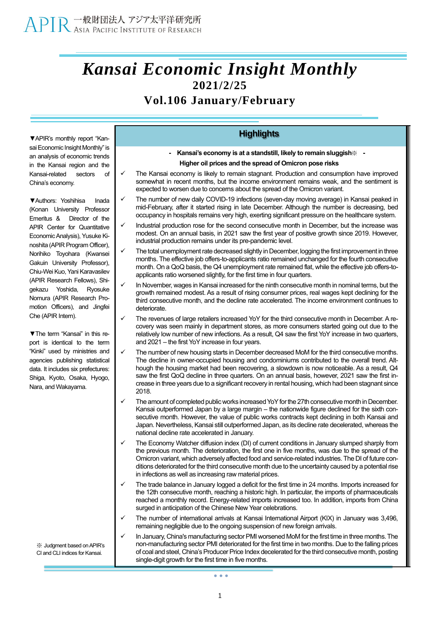## *Kansai Economic Insight Monthly* **2021/2/25**

### **Vol.106 January/February**

**▼**APIR's monthly report "Kansai Economic Insight Monthly" is an analysis of economic trends in the Kansai region and the Kansai-related sectors of China's economy.

**▼**Authors: Yoshihisa Inada (Konan University Professor Emeritus & Director of the APIR Center for Quantitative Economic Analysis), Yusuke Kinoshita (APIR Program Officer), Norihiko Toyohara (Kwansei Gakuin University Professor), Chiu-Wei Kuo, Yani Karavasilev (APIR Research Fellows), Shigekazu Yoshida, Ryosuke Nomura (APIR Research Promotion Officers), and Jingfei Che (APIR Intern).

**▼**The term "Kansai" in this report is identical to the term "Kinki" used by ministries and agencies publishing statistical data. It includes six prefectures: Shiga, Kyoto, Osaka, Hyogo, Nara, and Wakayama.

※ Judgment based onAPIR's CI and CLI indices for Kansai.

**- Kansai's economy is at a standstill, likely to remain sluggish**※ **-**

#### **Higher oil prices and the spread of Omicron pose risks**

**Highlights**

- The Kansai economy is likely to remain stagnant. Production and consumption have improved somewhat in recent months, but the income environment remains weak, and the sentiment is expected to worsen due to concerns about the spread of the Omicron variant.
- The number of new daily COVID-19 infections (seven-day moving average) in Kansai peaked in mid-February, after it started rising in late December. Although the number is decreasing, bed occupancy in hospitals remains very high, exerting significant pressure on the healthcare system.
- Industrial production rose for the second consecutive month in December, but the increase was modest. On an annual basis, in 2021 saw the first year of positive growth since 2019. However, industrial production remains under its pre-pandemic level.
- The total unemployment rate decreased slightly in December, logging the first improvement in three months. The effective job offers-to-applicants ratio remained unchanged for the fourth consecutive month. On a QoQ basis, the Q4 unemployment rate remained flat, while the effective job offers-toapplicants ratio worsened slightly, for the first time in four quarters.
- In November, wages in Kansai increased for the ninth consecutive month in nominal terms, but the growth remained modest. As a result of rising consumer prices, real wages kept declining for the third consecutive month, and the decline rate accelerated. The income environment continues to deteriorate.
- The revenues of large retailers increased YoY for the third consecutive month in December. A recovery was seen mainly in department stores, as more consumers started going out due to the relatively low number of new infections. As a result, Q4 saw the first YoY increase in two quarters, and 2021 – the first YoY increase in four years.
- The number of new housing starts in December decreased MoM for the third consecutive months. The decline in owner-occupied housing and condominiums contributed to the overall trend. Although the housing market had been recovering, a slowdown is now noticeable. As a result, Q4 saw the first QoQ decline in three quarters. On an annual basis, however, 2021 saw the first increase in three years due to a significant recovery in rental housing, which had been stagnant since 2018.
- The amount of completed public works increased YoY for the 27th consecutive month in December. Kansai outperformed Japan by a large margin – the nationwide figure declined for the sixth consecutive month. However, the value of public works contracts kept declining in both Kansai and Japan. Nevertheless, Kansai still outperformed Japan, as its decline rate decelerated, whereas the national decline rate accelerated in January.
- The Economy Watcher diffusion index (DI) of current conditions in January slumped sharply from the previous month. The deterioration, the first one in five months, was due to the spread of the Omicron variant, which adversely affected food and service-related industries.The DI of future conditions deteriorated for the third consecutive month due to the uncertainty caused by a potential rise in infections as well as increasing raw material prices.
- The trade balance in January logged a deficit for the first time in 24 months. Imports increased for the 12th consecutive month, reaching a historic high. In particular, the imports of pharmaceuticals reached a monthly record. Energy-related imports increased too. In addition, imports from China surged in anticipation of the Chinese New Year celebrations.
- The number of international arrivals at Kansai International Airport (KIX) in January was 3,496, remaining negligible due to the ongoing suspension of new foreign arrivals.
- In January, China's manufacturing sector PMI worsened MoM for the first time in three months. The non-manufacturing sector PMI deteriorated for the first time in two months. Due to the falling prices of coal and steel, China's Producer Price Index decelerated for the third consecutive month, posting single-digit growth for the first time in five months.

 $\bullet$   $\bullet$   $\bullet$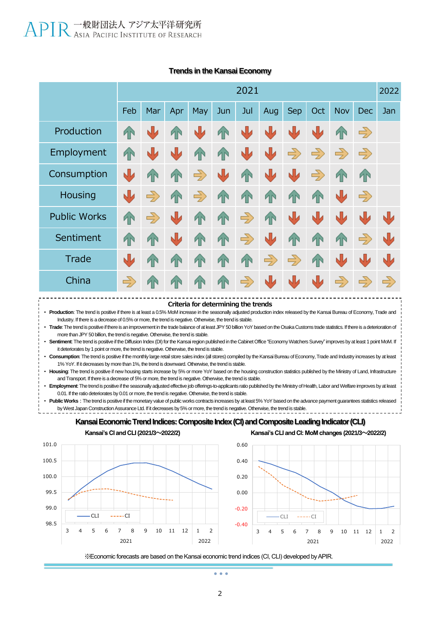|                     | 2021          |                |              |               |           |               |               |               |                |               |               | 2022          |
|---------------------|---------------|----------------|--------------|---------------|-----------|---------------|---------------|---------------|----------------|---------------|---------------|---------------|
|                     | Feb           | Mar            | Apr          | May           | Jun       | Jul           | Aug           | Sep           | Oct            | Nov           | <b>Dec</b>    | Jan           |
| Production          | T             | Ŵ              | <sup>T</sup> | N             | <b>TN</b> | W             | N             | N             | Ŵ              | 4N            | $\Rightarrow$ |               |
| Employment          | <sup>T</sup>  | 山              | Ŵ            | <b>TN</b>     | <b>TN</b> | W             | W             | $\Rightarrow$ | $\Rightarrow$  | $\Rightarrow$ | $\Rightarrow$ |               |
| Consumption         | N             | ИŃ             | <sup>T</sup> | $\Rightarrow$ | ⋓         | $\mathbf{T}$  | し             | N             | $\Rightarrow$  | <b>AN</b>     | <b>AN</b>     |               |
| Housing             | N             | $\Rightarrow$  | <b>TN</b>    | $\Rightarrow$ | <b>TN</b> | T             | T             | T             | 4              | N             | $\Rightarrow$ |               |
| <b>Public Works</b> | <b>TN</b>     | $\Rightarrow$  | N            | <b>TN</b>     | <b>TN</b> | $\Rightarrow$ | <b>TN</b>     | Ŵ             | N              | N             | N             | Ŵ             |
| Sentiment           | <sup>T</sup>  | ИŃ             | N            | <sup>T</sup>  | <b>TN</b> | $\Rightarrow$ | N             | <b>TN</b>     | 4 <sup>2</sup> | 4             | $\Rightarrow$ | N             |
| Trade               | N             | 4 <sup>2</sup> | <b>TN</b>    | <b>TN</b>     | <b>1N</b> | <b>TN</b>     | $\Rightarrow$ | $\Rightarrow$ | $\sqrt{2}$     | N             | NU            | す             |
| China               | $\Rightarrow$ | <b>AN</b>      | <b>IN</b>    | <b>TN</b>     | <b>1N</b> | $\Rightarrow$ | 业             | N             | W              | $\Rightarrow$ | $\Rightarrow$ | $\Rightarrow$ |

#### **Trends in the Kansai Economy**



• **Production**: The trend is positive if there is at least a 0.5% MoM increase in the seasonally adjusted production index released by the Kansai Bureau of Economy, Trade and Industry. If there is a decrease of 0.5% or more, the trend is negative. Otherwise, the trend is stable.

• **Trade**: The trend is positive if there is an improvement in the trade balance of at least JPY 50 billion YoY based on the Osaka Customs trade statistics. If there is a deterioration of more than JPY 50 billion, the trend is negative. Otherwise, the trend is stable.

• **Sentiment**: The trend is positive if the Diffusion Index (DI) for the Kansai region published in the Cabinet Office "Economy Watchers Survey" improves by at least 1 point MoM. If it deteriorates by 1 point or more, the trend is negative. Otherwise, the trend is stable.

• **Consumption**: The trend is positive if the monthly large retail store sales index (all stores) compiled by the Kansai Bureau of Economy, Trade and Industry increases by at least 1% YoY. If it decreases by more than 1%, the trend is downward. Otherwise, the trend is stable.

• **Housing**: The trend is positive if new housing starts increase by 5% or more YoY based on the housing construction statistics published by the Ministry of Land, Infrastructure and Transport. If there is a decrease of 5% or more, the trend is negative. Otherwise, the trend is stable.

• **Employment**: The trend is positive if the seasonally adjusted effective job offerings-to-applicants ratio published by the Ministry of Health, Labor and Welfare improves by at least 0.01. If the ratio deteriorates by 0.01 or more, the trend is negative. Otherwise, the trend is stable.

Public Works : The trend is positive if the monetary value of public works contracts increases by at least 5% YoY based on the advance payment guarantees statistics released by West Japan Construction Assurance Ltd. If it decreases by 5% or more, the trend is negative. Otherwise, the trend is stable.







※Economic forecasts are based on the Kansai economic trend indices (CI, CLI) developed by APIR.

 $\sim$   $\sim$   $\sim$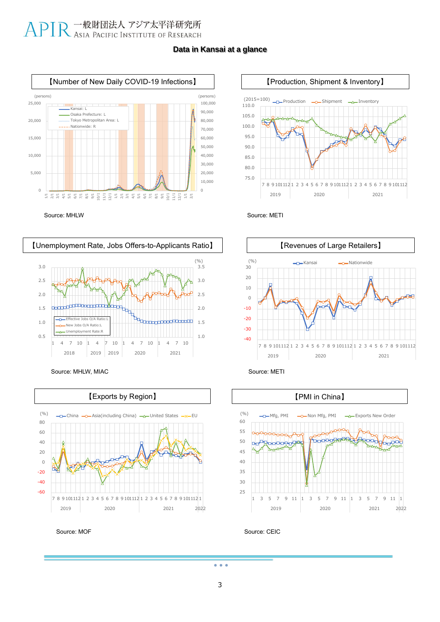#### **Data in Kansai at a glance**







Source: MHLW, MIAC Source: METI



Source: MOF









Source: CEIC

 $\bullet$   $\bullet$   $\bullet$